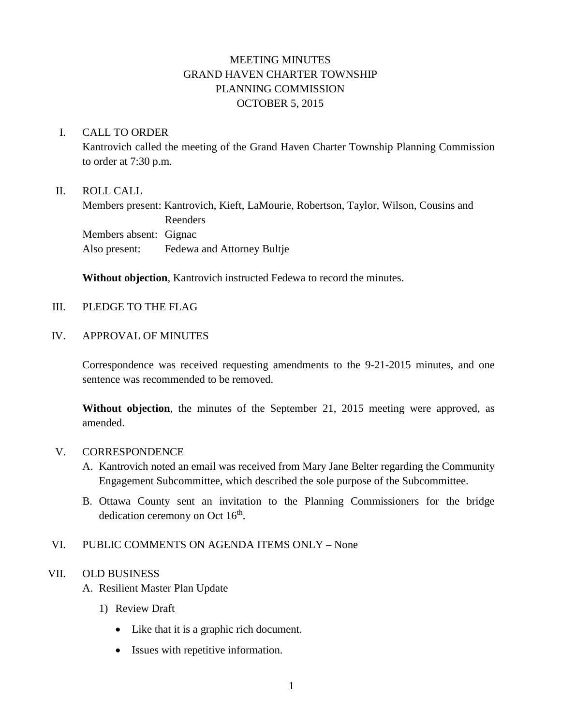# MEETING MINUTES GRAND HAVEN CHARTER TOWNSHIP PLANNING COMMISSION OCTOBER 5, 2015

### I. CALL TO ORDER

Kantrovich called the meeting of the Grand Haven Charter Township Planning Commission to order at 7:30 p.m.

## II. ROLL CALL

Members present: Kantrovich, Kieft, LaMourie, Robertson, Taylor, Wilson, Cousins and Reenders Members absent: Gignac Also present: Fedewa and Attorney Bultje

**Without objection**, Kantrovich instructed Fedewa to record the minutes.

## III. PLEDGE TO THE FLAG

### IV. APPROVAL OF MINUTES

Correspondence was received requesting amendments to the 9-21-2015 minutes, and one sentence was recommended to be removed.

**Without objection**, the minutes of the September 21, 2015 meeting were approved, as amended.

### V. CORRESPONDENCE

- A. Kantrovich noted an email was received from Mary Jane Belter regarding the Community Engagement Subcommittee, which described the sole purpose of the Subcommittee.
- B. Ottawa County sent an invitation to the Planning Commissioners for the bridge dedication ceremony on Oct  $16<sup>th</sup>$ .

# VI. PUBLIC COMMENTS ON AGENDA ITEMS ONLY – None

# VII. OLD BUSINESS

- A. Resilient Master Plan Update
	- 1) Review Draft
		- Like that it is a graphic rich document.
		- Issues with repetitive information.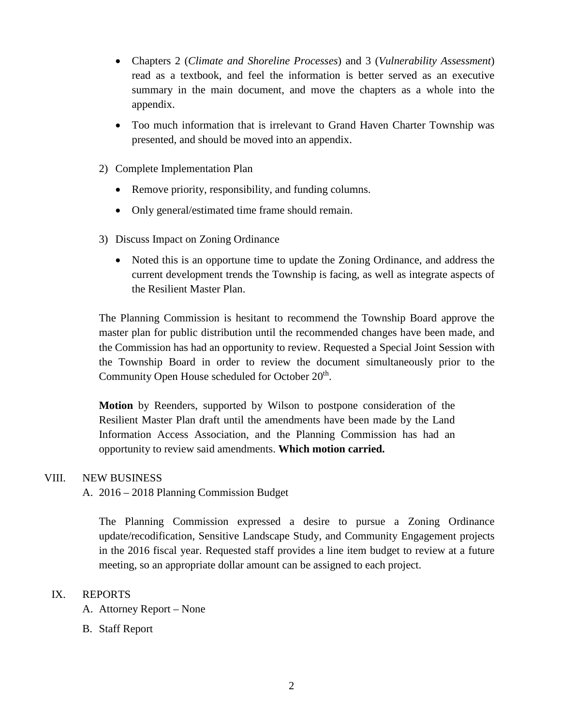- Chapters 2 (*Climate and Shoreline Processes*) and 3 (*Vulnerability Assessment*) read as a textbook, and feel the information is better served as an executive summary in the main document, and move the chapters as a whole into the appendix.
- Too much information that is irrelevant to Grand Haven Charter Township was presented, and should be moved into an appendix.
- 2) Complete Implementation Plan
	- Remove priority, responsibility, and funding columns.
	- Only general/estimated time frame should remain.
- 3) Discuss Impact on Zoning Ordinance
	- Noted this is an opportune time to update the Zoning Ordinance, and address the current development trends the Township is facing, as well as integrate aspects of the Resilient Master Plan.

The Planning Commission is hesitant to recommend the Township Board approve the master plan for public distribution until the recommended changes have been made, and the Commission has had an opportunity to review. Requested a Special Joint Session with the Township Board in order to review the document simultaneously prior to the Community Open House scheduled for October 20<sup>th</sup>.

**Motion** by Reenders, supported by Wilson to postpone consideration of the Resilient Master Plan draft until the amendments have been made by the Land Information Access Association, and the Planning Commission has had an opportunity to review said amendments. **Which motion carried.**

### VIII. NEW BUSINESS

### A. 2016 – 2018 Planning Commission Budget

The Planning Commission expressed a desire to pursue a Zoning Ordinance update/recodification, Sensitive Landscape Study, and Community Engagement projects in the 2016 fiscal year. Requested staff provides a line item budget to review at a future meeting, so an appropriate dollar amount can be assigned to each project.

### IX. REPORTS

- A. Attorney Report None
- B. Staff Report